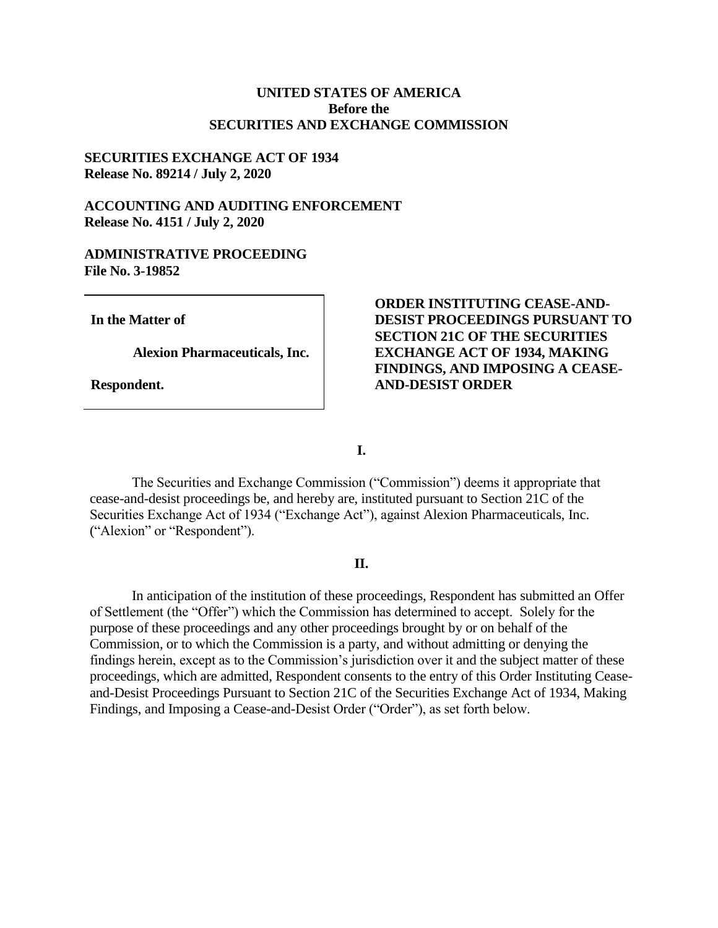## **UNITED STATES OF AMERICA Before the SECURITIES AND EXCHANGE COMMISSION**

## **SECURITIES EXCHANGE ACT OF 1934 Release No. 89214 / July 2, 2020**

# **ACCOUNTING AND AUDITING ENFORCEMENT Release No. 4151 / July 2, 2020**

## **ADMINISTRATIVE PROCEEDING File No. 3-19852**

**In the Matter of**

**Alexion Pharmaceuticals, Inc.**

**Respondent.**

# **ORDER INSTITUTING CEASE-AND-DESIST PROCEEDINGS PURSUANT TO SECTION 21C OF THE SECURITIES EXCHANGE ACT OF 1934, MAKING FINDINGS, AND IMPOSING A CEASE-AND-DESIST ORDER**

**I.**

The Securities and Exchange Commission ("Commission") deems it appropriate that cease-and-desist proceedings be, and hereby are, instituted pursuant to Section 21C of the Securities Exchange Act of 1934 ("Exchange Act"), against Alexion Pharmaceuticals, Inc. ("Alexion" or "Respondent").

# **II.**

In anticipation of the institution of these proceedings, Respondent has submitted an Offer of Settlement (the "Offer") which the Commission has determined to accept. Solely for the purpose of these proceedings and any other proceedings brought by or on behalf of the Commission, or to which the Commission is a party, and without admitting or denying the findings herein, except as to the Commission's jurisdiction over it and the subject matter of these proceedings, which are admitted, Respondent consents to the entry of this Order Instituting Ceaseand-Desist Proceedings Pursuant to Section 21C of the Securities Exchange Act of 1934, Making Findings, and Imposing a Cease-and-Desist Order ("Order"), as set forth below.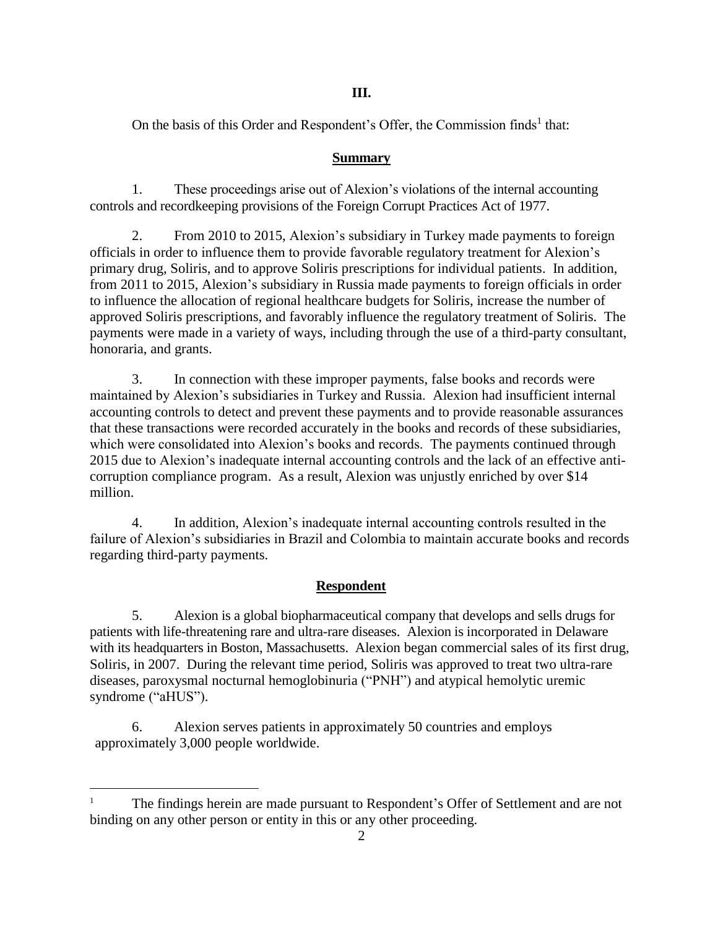# **III.**

On the basis of this Order and Respondent's Offer, the Commission finds<sup>1</sup> that:

# **Summary**

1. These proceedings arise out of Alexion's violations of the internal accounting controls and recordkeeping provisions of the Foreign Corrupt Practices Act of 1977.

2. From 2010 to 2015, Alexion's subsidiary in Turkey made payments to foreign officials in order to influence them to provide favorable regulatory treatment for Alexion's primary drug, Soliris, and to approve Soliris prescriptions for individual patients. In addition, from 2011 to 2015, Alexion's subsidiary in Russia made payments to foreign officials in order to influence the allocation of regional healthcare budgets for Soliris, increase the number of approved Soliris prescriptions, and favorably influence the regulatory treatment of Soliris. The payments were made in a variety of ways, including through the use of a third-party consultant, honoraria, and grants.

3. In connection with these improper payments, false books and records were maintained by Alexion's subsidiaries in Turkey and Russia. Alexion had insufficient internal accounting controls to detect and prevent these payments and to provide reasonable assurances that these transactions were recorded accurately in the books and records of these subsidiaries, which were consolidated into Alexion's books and records. The payments continued through 2015 due to Alexion's inadequate internal accounting controls and the lack of an effective anticorruption compliance program. As a result, Alexion was unjustly enriched by over \$14 million.

4. In addition, Alexion's inadequate internal accounting controls resulted in the failure of Alexion's subsidiaries in Brazil and Colombia to maintain accurate books and records regarding third-party payments.

# **Respondent**

5. Alexion is a global biopharmaceutical company that develops and sells drugs for patients with life-threatening rare and ultra-rare diseases. Alexion is incorporated in Delaware with its headquarters in Boston, Massachusetts. Alexion began commercial sales of its first drug, Soliris, in 2007. During the relevant time period, Soliris was approved to treat two ultra-rare diseases, paroxysmal nocturnal hemoglobinuria ("PNH") and atypical hemolytic uremic syndrome ("aHUS").

6. Alexion serves patients in approximately 50 countries and employs approximately 3,000 people worldwide.

 $\overline{a}$ 

<sup>&</sup>lt;sup>1</sup> The findings herein are made pursuant to Respondent's Offer of Settlement and are not binding on any other person or entity in this or any other proceeding.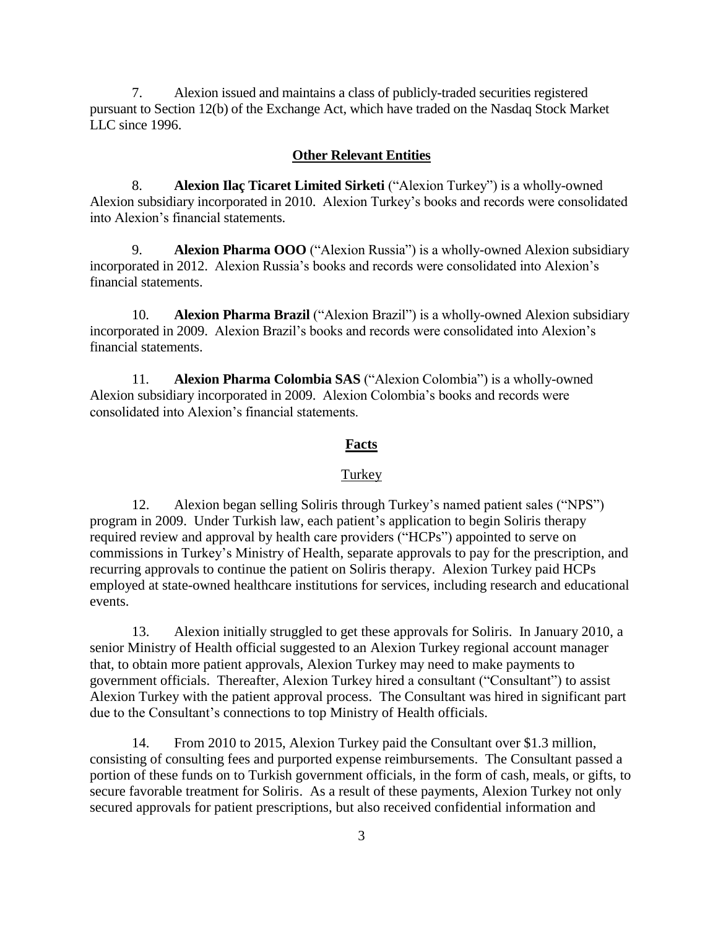7. Alexion issued and maintains a class of publicly-traded securities registered pursuant to Section 12(b) of the Exchange Act, which have traded on the Nasdaq Stock Market LLC since 1996.

### **Other Relevant Entities**

8. **Alexion Ilaç Ticaret Limited Sirketi** ("Alexion Turkey") is a wholly-owned Alexion subsidiary incorporated in 2010. Alexion Turkey's books and records were consolidated into Alexion's financial statements.

9. **Alexion Pharma OOO** ("Alexion Russia") is a wholly-owned Alexion subsidiary incorporated in 2012. Alexion Russia's books and records were consolidated into Alexion's financial statements.

10. **Alexion Pharma Brazil** ("Alexion Brazil") is a wholly-owned Alexion subsidiary incorporated in 2009. Alexion Brazil's books and records were consolidated into Alexion's financial statements.

11. **Alexion Pharma Colombia SAS** ("Alexion Colombia") is a wholly-owned Alexion subsidiary incorporated in 2009. Alexion Colombia's books and records were consolidated into Alexion's financial statements.

## **Facts**

### **Turkey**

12. Alexion began selling Soliris through Turkey's named patient sales ("NPS") program in 2009. Under Turkish law, each patient's application to begin Soliris therapy required review and approval by health care providers ("HCPs") appointed to serve on commissions in Turkey's Ministry of Health, separate approvals to pay for the prescription, and recurring approvals to continue the patient on Soliris therapy. Alexion Turkey paid HCPs employed at state-owned healthcare institutions for services, including research and educational events.

13. Alexion initially struggled to get these approvals for Soliris. In January 2010, a senior Ministry of Health official suggested to an Alexion Turkey regional account manager that, to obtain more patient approvals, Alexion Turkey may need to make payments to government officials. Thereafter, Alexion Turkey hired a consultant ("Consultant") to assist Alexion Turkey with the patient approval process. The Consultant was hired in significant part due to the Consultant's connections to top Ministry of Health officials.

14. From 2010 to 2015, Alexion Turkey paid the Consultant over \$1.3 million, consisting of consulting fees and purported expense reimbursements. The Consultant passed a portion of these funds on to Turkish government officials, in the form of cash, meals, or gifts, to secure favorable treatment for Soliris. As a result of these payments, Alexion Turkey not only secured approvals for patient prescriptions, but also received confidential information and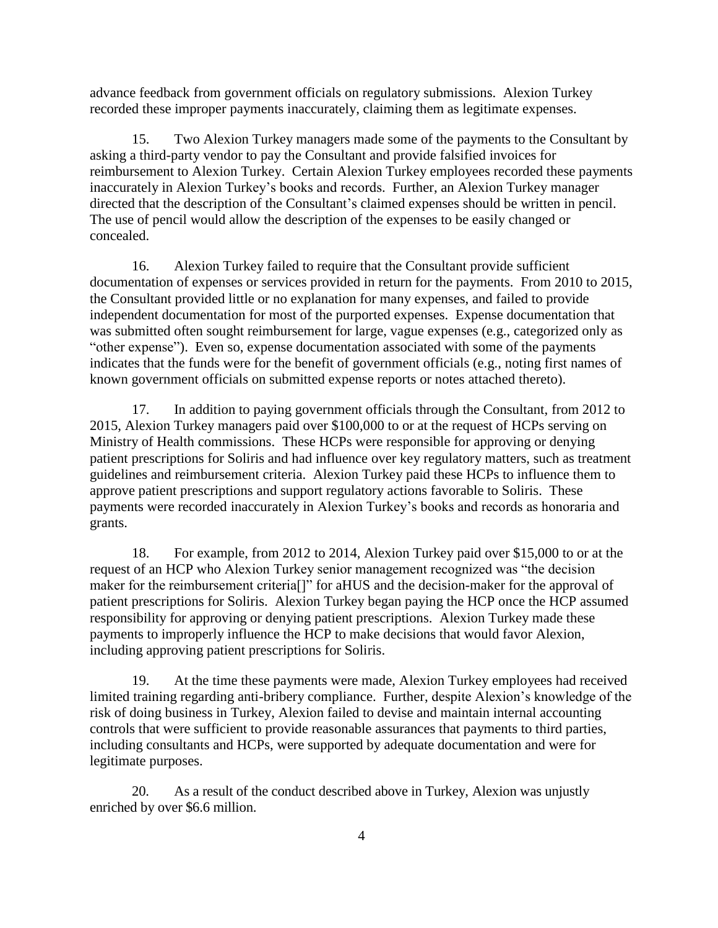advance feedback from government officials on regulatory submissions. Alexion Turkey recorded these improper payments inaccurately, claiming them as legitimate expenses.

15. Two Alexion Turkey managers made some of the payments to the Consultant by asking a third-party vendor to pay the Consultant and provide falsified invoices for reimbursement to Alexion Turkey. Certain Alexion Turkey employees recorded these payments inaccurately in Alexion Turkey's books and records. Further, an Alexion Turkey manager directed that the description of the Consultant's claimed expenses should be written in pencil. The use of pencil would allow the description of the expenses to be easily changed or concealed.

16. Alexion Turkey failed to require that the Consultant provide sufficient documentation of expenses or services provided in return for the payments. From 2010 to 2015, the Consultant provided little or no explanation for many expenses, and failed to provide independent documentation for most of the purported expenses. Expense documentation that was submitted often sought reimbursement for large, vague expenses (e.g., categorized only as "other expense"). Even so, expense documentation associated with some of the payments indicates that the funds were for the benefit of government officials (e.g., noting first names of known government officials on submitted expense reports or notes attached thereto).

17. In addition to paying government officials through the Consultant, from 2012 to 2015, Alexion Turkey managers paid over \$100,000 to or at the request of HCPs serving on Ministry of Health commissions. These HCPs were responsible for approving or denying patient prescriptions for Soliris and had influence over key regulatory matters, such as treatment guidelines and reimbursement criteria. Alexion Turkey paid these HCPs to influence them to approve patient prescriptions and support regulatory actions favorable to Soliris. These payments were recorded inaccurately in Alexion Turkey's books and records as honoraria and grants.

18. For example, from 2012 to 2014, Alexion Turkey paid over \$15,000 to or at the request of an HCP who Alexion Turkey senior management recognized was "the decision maker for the reimbursement criteria[]" for aHUS and the decision-maker for the approval of patient prescriptions for Soliris. Alexion Turkey began paying the HCP once the HCP assumed responsibility for approving or denying patient prescriptions. Alexion Turkey made these payments to improperly influence the HCP to make decisions that would favor Alexion, including approving patient prescriptions for Soliris.

19. At the time these payments were made, Alexion Turkey employees had received limited training regarding anti-bribery compliance. Further, despite Alexion's knowledge of the risk of doing business in Turkey, Alexion failed to devise and maintain internal accounting controls that were sufficient to provide reasonable assurances that payments to third parties, including consultants and HCPs, were supported by adequate documentation and were for legitimate purposes.

20. As a result of the conduct described above in Turkey, Alexion was unjustly enriched by over \$6.6 million.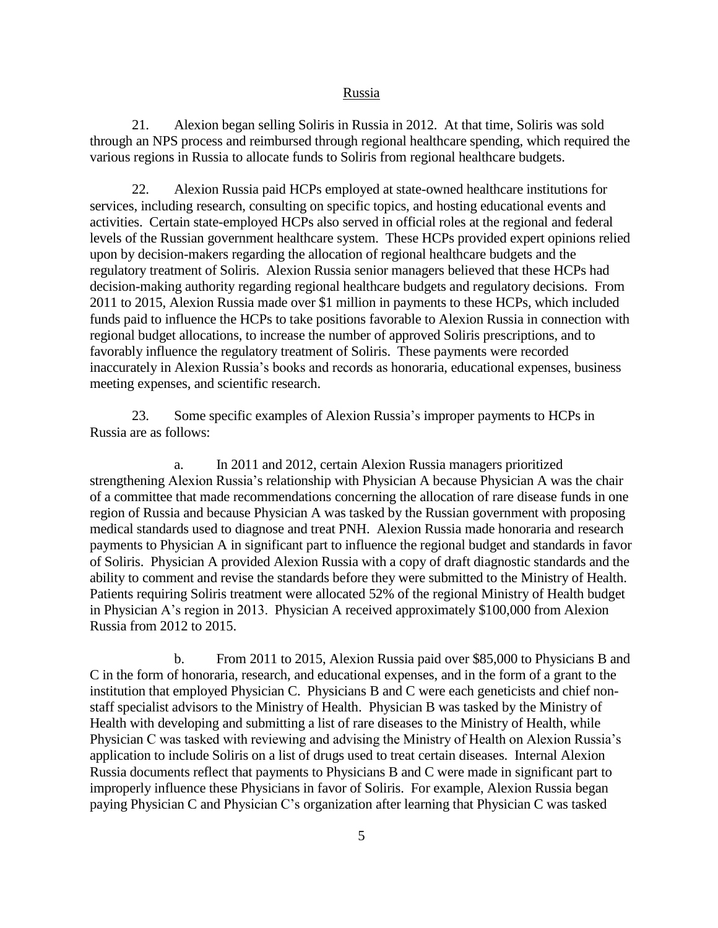### Russia

21. Alexion began selling Soliris in Russia in 2012. At that time, Soliris was sold through an NPS process and reimbursed through regional healthcare spending, which required the various regions in Russia to allocate funds to Soliris from regional healthcare budgets.

22. Alexion Russia paid HCPs employed at state-owned healthcare institutions for services, including research, consulting on specific topics, and hosting educational events and activities. Certain state-employed HCPs also served in official roles at the regional and federal levels of the Russian government healthcare system. These HCPs provided expert opinions relied upon by decision-makers regarding the allocation of regional healthcare budgets and the regulatory treatment of Soliris. Alexion Russia senior managers believed that these HCPs had decision-making authority regarding regional healthcare budgets and regulatory decisions. From 2011 to 2015, Alexion Russia made over \$1 million in payments to these HCPs, which included funds paid to influence the HCPs to take positions favorable to Alexion Russia in connection with regional budget allocations, to increase the number of approved Soliris prescriptions, and to favorably influence the regulatory treatment of Soliris. These payments were recorded inaccurately in Alexion Russia's books and records as honoraria, educational expenses, business meeting expenses, and scientific research.

23. Some specific examples of Alexion Russia's improper payments to HCPs in Russia are as follows:

a. In 2011 and 2012, certain Alexion Russia managers prioritized strengthening Alexion Russia's relationship with Physician A because Physician A was the chair of a committee that made recommendations concerning the allocation of rare disease funds in one region of Russia and because Physician A was tasked by the Russian government with proposing medical standards used to diagnose and treat PNH. Alexion Russia made honoraria and research payments to Physician A in significant part to influence the regional budget and standards in favor of Soliris. Physician A provided Alexion Russia with a copy of draft diagnostic standards and the ability to comment and revise the standards before they were submitted to the Ministry of Health. Patients requiring Soliris treatment were allocated 52% of the regional Ministry of Health budget in Physician A's region in 2013. Physician A received approximately \$100,000 from Alexion Russia from 2012 to 2015.

b. From 2011 to 2015, Alexion Russia paid over \$85,000 to Physicians B and C in the form of honoraria, research, and educational expenses, and in the form of a grant to the institution that employed Physician C. Physicians B and C were each geneticists and chief nonstaff specialist advisors to the Ministry of Health. Physician B was tasked by the Ministry of Health with developing and submitting a list of rare diseases to the Ministry of Health, while Physician C was tasked with reviewing and advising the Ministry of Health on Alexion Russia's application to include Soliris on a list of drugs used to treat certain diseases. Internal Alexion Russia documents reflect that payments to Physicians B and C were made in significant part to improperly influence these Physicians in favor of Soliris. For example, Alexion Russia began paying Physician C and Physician C's organization after learning that Physician C was tasked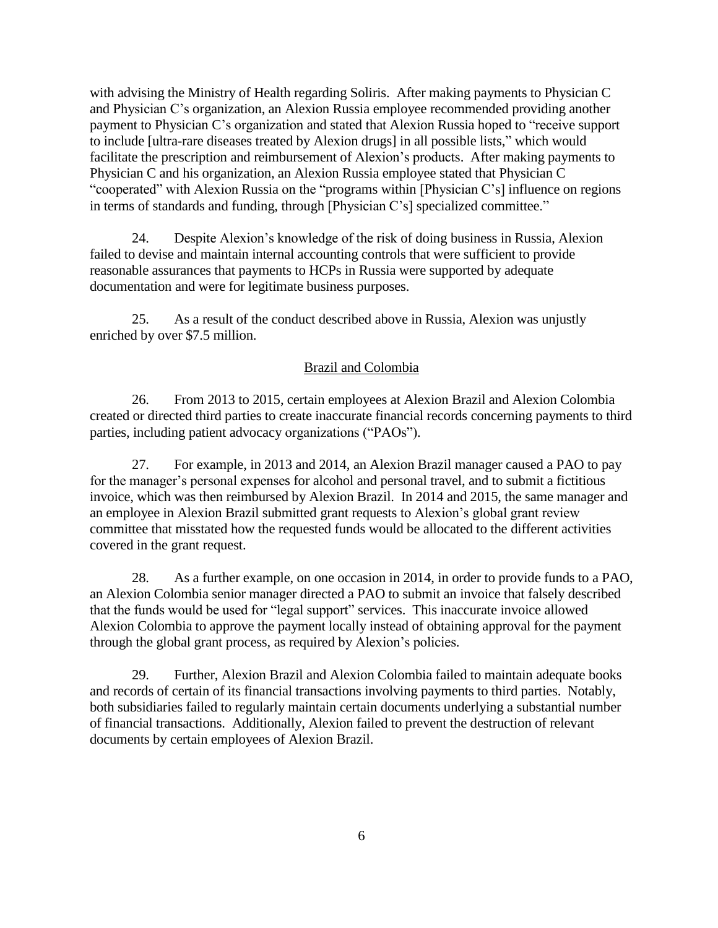with advising the Ministry of Health regarding Soliris. After making payments to Physician C and Physician C's organization, an Alexion Russia employee recommended providing another payment to Physician C's organization and stated that Alexion Russia hoped to "receive support to include [ultra-rare diseases treated by Alexion drugs] in all possible lists," which would facilitate the prescription and reimbursement of Alexion's products. After making payments to Physician C and his organization, an Alexion Russia employee stated that Physician C "cooperated" with Alexion Russia on the "programs within [Physician C's] influence on regions in terms of standards and funding, through [Physician C's] specialized committee."

24. Despite Alexion's knowledge of the risk of doing business in Russia, Alexion failed to devise and maintain internal accounting controls that were sufficient to provide reasonable assurances that payments to HCPs in Russia were supported by adequate documentation and were for legitimate business purposes.

25. As a result of the conduct described above in Russia, Alexion was unjustly enriched by over \$7.5 million.

## Brazil and Colombia

26. From 2013 to 2015, certain employees at Alexion Brazil and Alexion Colombia created or directed third parties to create inaccurate financial records concerning payments to third parties, including patient advocacy organizations ("PAOs").

27. For example, in 2013 and 2014, an Alexion Brazil manager caused a PAO to pay for the manager's personal expenses for alcohol and personal travel, and to submit a fictitious invoice, which was then reimbursed by Alexion Brazil. In 2014 and 2015, the same manager and an employee in Alexion Brazil submitted grant requests to Alexion's global grant review committee that misstated how the requested funds would be allocated to the different activities covered in the grant request.

28. As a further example, on one occasion in 2014, in order to provide funds to a PAO, an Alexion Colombia senior manager directed a PAO to submit an invoice that falsely described that the funds would be used for "legal support" services. This inaccurate invoice allowed Alexion Colombia to approve the payment locally instead of obtaining approval for the payment through the global grant process, as required by Alexion's policies.

29. Further, Alexion Brazil and Alexion Colombia failed to maintain adequate books and records of certain of its financial transactions involving payments to third parties. Notably, both subsidiaries failed to regularly maintain certain documents underlying a substantial number of financial transactions. Additionally, Alexion failed to prevent the destruction of relevant documents by certain employees of Alexion Brazil.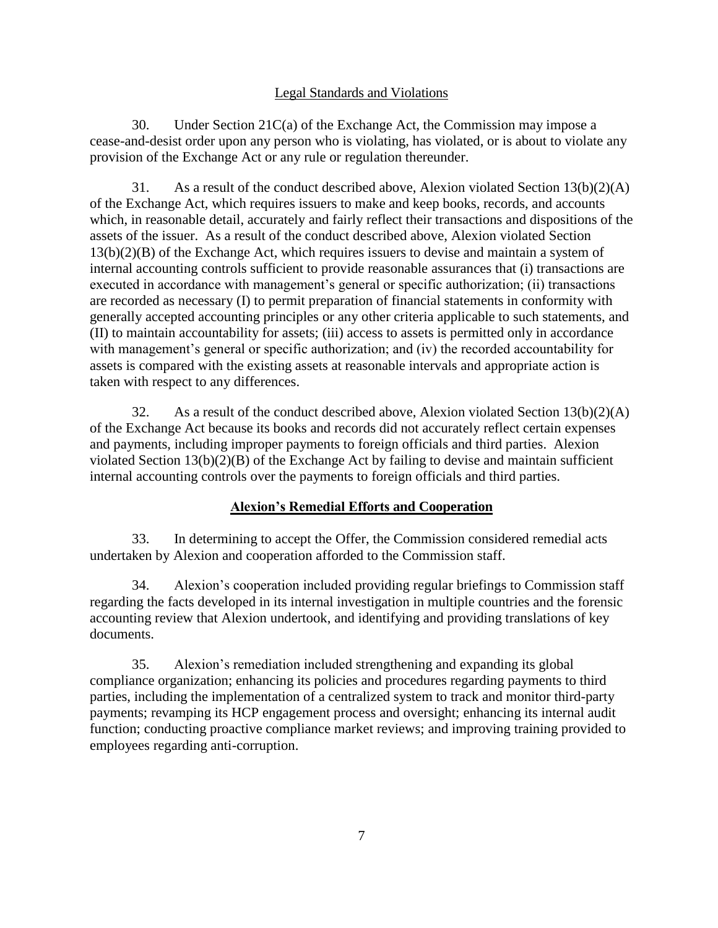## Legal Standards and Violations

30. Under Section 21C(a) of the Exchange Act, the Commission may impose a cease-and-desist order upon any person who is violating, has violated, or is about to violate any provision of the Exchange Act or any rule or regulation thereunder.

31. As a result of the conduct described above, Alexion violated Section  $13(b)(2)(A)$ of the Exchange Act, which requires issuers to make and keep books, records, and accounts which, in reasonable detail, accurately and fairly reflect their transactions and dispositions of the assets of the issuer. As a result of the conduct described above, Alexion violated Section 13(b)(2)(B) of the Exchange Act, which requires issuers to devise and maintain a system of internal accounting controls sufficient to provide reasonable assurances that (i) transactions are executed in accordance with management's general or specific authorization; (ii) transactions are recorded as necessary (I) to permit preparation of financial statements in conformity with generally accepted accounting principles or any other criteria applicable to such statements, and (II) to maintain accountability for assets; (iii) access to assets is permitted only in accordance with management's general or specific authorization; and (iv) the recorded accountability for assets is compared with the existing assets at reasonable intervals and appropriate action is taken with respect to any differences.

32. As a result of the conduct described above, Alexion violated Section 13(b)(2)(A) of the Exchange Act because its books and records did not accurately reflect certain expenses and payments, including improper payments to foreign officials and third parties. Alexion violated Section 13(b)(2)(B) of the Exchange Act by failing to devise and maintain sufficient internal accounting controls over the payments to foreign officials and third parties.

# **Alexion's Remedial Efforts and Cooperation**

33. In determining to accept the Offer, the Commission considered remedial acts undertaken by Alexion and cooperation afforded to the Commission staff.

34. Alexion's cooperation included providing regular briefings to Commission staff regarding the facts developed in its internal investigation in multiple countries and the forensic accounting review that Alexion undertook, and identifying and providing translations of key documents.

35. Alexion's remediation included strengthening and expanding its global compliance organization; enhancing its policies and procedures regarding payments to third parties, including the implementation of a centralized system to track and monitor third-party payments; revamping its HCP engagement process and oversight; enhancing its internal audit function; conducting proactive compliance market reviews; and improving training provided to employees regarding anti-corruption.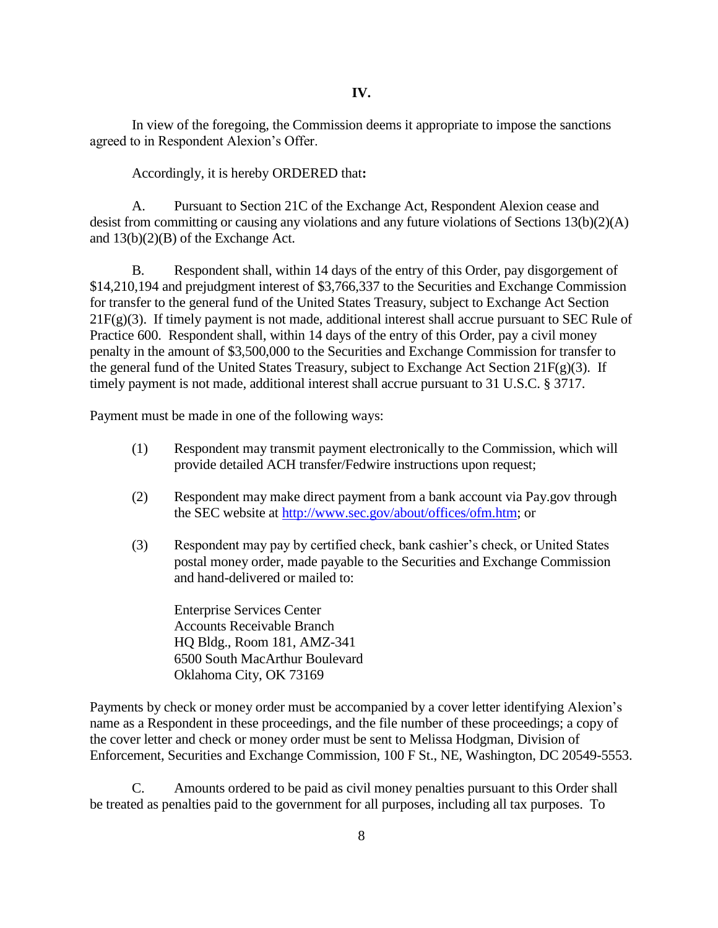In view of the foregoing, the Commission deems it appropriate to impose the sanctions agreed to in Respondent Alexion's Offer.

Accordingly, it is hereby ORDERED that**:**

A. Pursuant to Section 21C of the Exchange Act, Respondent Alexion cease and desist from committing or causing any violations and any future violations of Sections 13(b)(2)(A) and 13(b)(2)(B) of the Exchange Act.

B. Respondent shall, within 14 days of the entry of this Order, pay disgorgement of \$14,210,194 and prejudgment interest of \$3,766,337 to the Securities and Exchange Commission for transfer to the general fund of the United States Treasury, subject to Exchange Act Section  $21F(g)(3)$ . If timely payment is not made, additional interest shall accrue pursuant to SEC Rule of Practice 600. Respondent shall, within 14 days of the entry of this Order, pay a civil money penalty in the amount of \$3,500,000 to the Securities and Exchange Commission for transfer to the general fund of the United States Treasury, subject to Exchange Act Section  $21F(g)(3)$ . If timely payment is not made, additional interest shall accrue pursuant to 31 U.S.C. § 3717.

Payment must be made in one of the following ways:

- (1) Respondent may transmit payment electronically to the Commission, which will provide detailed ACH transfer/Fedwire instructions upon request;
- (2) Respondent may make direct payment from a bank account via Pay.gov through the SEC website at [http://www.sec.gov/about/offices/ofm.htm;](http://www.sec.gov/about/offices/ofm.htm) or
- (3) Respondent may pay by certified check, bank cashier's check, or United States postal money order, made payable to the Securities and Exchange Commission and hand-delivered or mailed to:

Enterprise Services Center Accounts Receivable Branch HQ Bldg., Room 181, AMZ-341 6500 South MacArthur Boulevard Oklahoma City, OK 73169

Payments by check or money order must be accompanied by a cover letter identifying Alexion's name as a Respondent in these proceedings, and the file number of these proceedings; a copy of the cover letter and check or money order must be sent to Melissa Hodgman, Division of Enforcement, Securities and Exchange Commission, 100 F St., NE, Washington, DC 20549-5553.

C. Amounts ordered to be paid as civil money penalties pursuant to this Order shall be treated as penalties paid to the government for all purposes, including all tax purposes. To